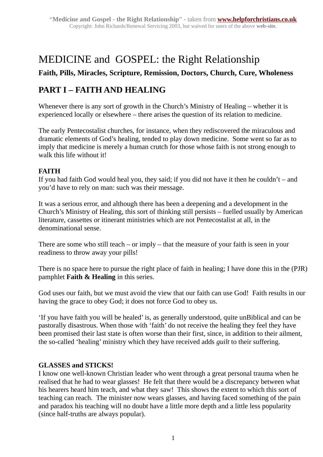# MEDICINE and GOSPEL: the Right Relationship

### **Faith, Pills, Miracles, Scripture, Remission, Doctors, Church, Cure, Wholeness**

## **PART I – FAITH AND HEALING**

Whenever there is any sort of growth in the Church's Ministry of Healing – whether it is experienced locally or elsewhere – there arises the question of its relation to medicine.

The early Pentecostalist churches, for instance, when they rediscovered the miraculous and dramatic elements of God's healing, tended to play down medicine. Some went so far as to imply that medicine is merely a human crutch for those whose faith is not strong enough to walk this life without it!

#### **FAITH**

If you had faith God would heal you, they said; if you did not have it then he couldn't – and you'd have to rely on man: such was their message.

It was a serious error, and although there has been a deepening and a development in the Church's Ministry of Healing, this sort of thinking still persists – fuelled usually by American literature, cassettes or itinerant ministries which are not Pentecostalist at all, in the denominational sense.

There are some who still teach – or imply – that the measure of your faith is seen in your readiness to throw away your pills!

There is no space here to pursue the right place of faith in healing; I have done this in the (PJR) pamphlet **Faith & Healing** in this series.

God uses our faith, but we must avoid the view that our faith can use God! Faith results in our having the grace to obey God; it does not force God to obey us.

'If you have faith you will be healed' is, as generally understood, quite unBiblical and can be pastorally disastrous. When those with 'faith' do not receive the healing they feel they have been promised their last state is often worse than their first, since, in addition to their ailment, the so-called 'healing' ministry which they have received adds *guilt* to their suffering.

#### **GLASSES and STICKS!**

I know one well-known Christian leader who went through a great personal trauma when he realised that he had to wear glasses! He felt that there would be a discrepancy between what his hearers heard him teach, and what they saw! This shows the extent to which this sort of teaching can reach. The minister now wears glasses, and having faced something of the pain and paradox his teaching will no doubt have a little more depth and a little less popularity (since half-truths are always popular).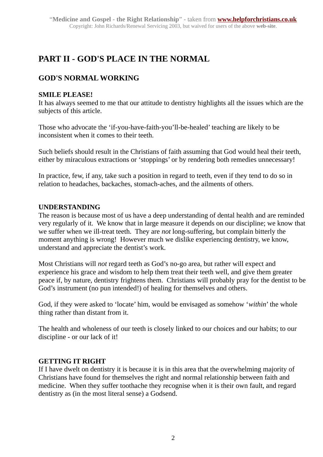## **PART II - GOD'S PLACE IN THE NORMAL**

## **GOD'S NORMAL WORKING**

#### **SMILE PLEASE!**

It has always seemed to me that our attitude to dentistry highlights all the issues which are the subjects of this article.

Those who advocate the 'if-you-have-faith-you'll-be-healed' teaching are likely to be inconsistent when it comes to their teeth.

Such beliefs should result in the Christians of faith assuming that God would heal their teeth, either by miraculous extractions or 'stoppings' or by rendering both remedies unnecessary!

In practice, few, if any, take such a position in regard to teeth, even if they tend to do so in relation to headaches, backaches, stomach-aches, and the ailments of others.

#### **UNDERSTANDING**

The reason is because most of us have a deep understanding of dental health and are reminded very regularly of it. We know that in large measure it depends on our discipline; we know that we suffer when we ill-treat teeth. They are *not* long-suffering, but complain bitterly the moment anything is wrong! However much we dislike experiencing dentistry, we know, understand and appreciate the dentist's work.

Most Christians will *not* regard teeth as God's no-go area, but rather will expect and experience his grace and wisdom to help them treat their teeth well, and give them greater peace if, by nature, dentistry frightens them. Christians will probably pray for the dentist to be God's instrument (no pun intended!) of healing for themselves and others.

God, if they were asked to 'locate' him, would be envisaged as somehow '*within*' the whole thing rather than distant from it.

The health and wholeness of our teeth is closely linked to our choices and our habits; to our discipline - or our lack of it!

#### **GETTING IT RIGHT**

If I have dwelt on dentistry it is because it is in this area that the overwhelming majority of Christians have found for themselves the right and normal relationship between faith and medicine. When they suffer toothache they recognise when it is their own fault, and regard dentistry as (in the most literal sense) a Godsend.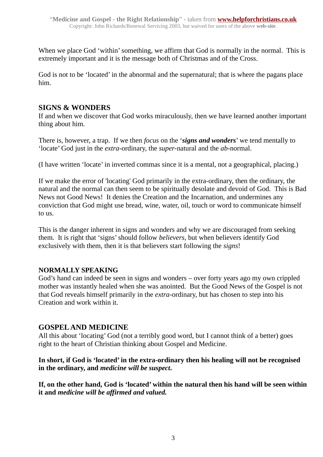When we place God 'within' something, we affirm that God is normally in the normal. This is extremely important and it is the message both of Christmas and of the Cross.

God is not to be 'located' in the abnormal and the supernatural; that is where the pagans place him.

#### **SIGNS & WONDERS**

If and when we discover that God works miraculously, then we have learned another important thing about him.

There is, however, a trap. If we then *focus* on the '*signs and wonders*' we tend mentally to 'locate' God just in the *extra*-ordinary, the *super-*natural and the *ab-*normal.

(I have written 'locate' in inverted commas since it is a mental, not a geographical, placing.)

If we make the error of 'locating' God primarily in the extra-ordinary, then the ordinary, the natural and the normal can then seem to be spiritually desolate and devoid of God. This is Bad News not Good News! It denies the Creation and the Incarnation, and undermines any conviction that God might use bread, wine, water, oil, touch or word to communicate himself to us.

This is the danger inherent in signs and wonders and why we are discouraged from seeking them. It is right that 'signs' should follow *believers*, but when believers identify God exclusively with them, then it is that believers start following the *signs*!

#### **NORMALLY SPEAKING**

God's hand can indeed be seen in signs and wonders – over forty years ago my own crippled mother was instantly healed when she was anointed. But the Good News of the Gospel is not that God reveals himself primarily in the *extra*-ordinary, but has chosen to step into his Creation and work within it.

#### **GOSPEL AND MEDICINE**

All this about 'locating' God (not a terribly good word, but I cannot think of a better) goes right to the heart of Christian thinking about Gospel and Medicine.

#### **In short, if God is 'located' in the extra-ordinary then his healing will not be recognised in the ordinary, and** *medicine will be suspect***.**

**If, on the other hand, God is 'located' within the natural then his hand will be seen within it and** *medicine will be affirmed and valued.*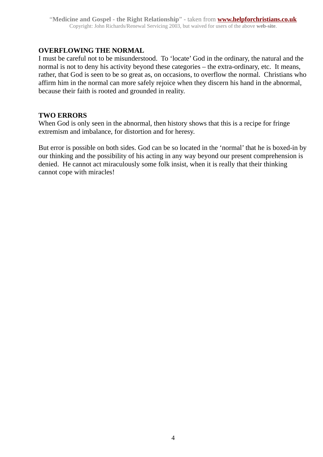#### **OVERFLOWING THE NORMAL**

I must be careful not to be misunderstood. To 'locate' God in the ordinary, the natural and the normal is not to deny his activity beyond these categories – the extra-ordinary, etc. It means, rather, that God is seen to be so great as, on occasions, to overflow the normal. Christians who affirm him in the normal can more safely rejoice when they discern his hand in the abnormal, because their faith is rooted and grounded in reality.

#### **TWO ERRORS**

When God is only seen in the abnormal, then history shows that this is a recipe for fringe extremism and imbalance, for distortion and for heresy.

But error is possible on both sides. God can be so located in the 'normal' that he is boxed-in by our thinking and the possibility of his acting in any way beyond our present comprehension is denied. He cannot act miraculously some folk insist, when it is really that their thinking cannot cope with miracles!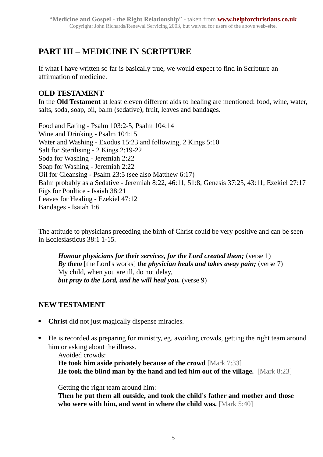## **PART III – MEDICINE IN SCRIPTURE**

If what I have written so far is basically true, we would expect to find in Scripture an affirmation of medicine.

### **OLD TESTAMENT**

In the **Old Testament** at least eleven different aids to healing are mentioned: food, wine, water, salts, soda, soap, oil, balm (sedative), fruit, leaves and bandages.

Food and Eating - Psalm 103:2-5, Psalm 104:14 Wine and Drinking - Psalm 104:15 Water and Washing - Exodus 15:23 and following, 2 Kings 5:10 Salt for Sterilising - 2 Kings 2:19-22 Soda for Washing - Jeremiah 2:22 Soap for Washing - Jeremiah 2:22 Oil for Cleansing - Psalm 23:5 (see also Matthew 6:17) Balm probably as a Sedative - Jeremiah 8:22, 46:11, 51:8, Genesis 37:25, 43:11, Ezekiel 27:17 Figs for Poultice - Isaiah 38:21 Leaves for Healing - Ezekiel 47:12 Bandages - Isaiah 1:6

The attitude to physicians preceding the birth of Christ could be very positive and can be seen in Ecclesiasticus 38:1 1-15.

*Honour physicians for their services, for the Lord created them;* (verse 1) *By them* [the Lord's works] *the physician heals and takes away pain;* (verse 7) My child, when you are ill, do not delay, *but pray to the Lord, and he will heal you.* (verse 9)

### **NEW TESTAMENT**

- **Christ** did not just magically dispense miracles.
- He is recorded as preparing for ministry, eg. avoiding crowds, getting the right team around him or asking about the illness.

Avoided crowds:

**He took him aside privately because of the crowd [Mark 7:33] He took the blind man by the hand and led him out of the village.** [Mark 8:23]

Getting the right team around him:

**Then he put them all outside, and took the child's father and mother and those who were with him, and went in where the child was.** [Mark 5:40]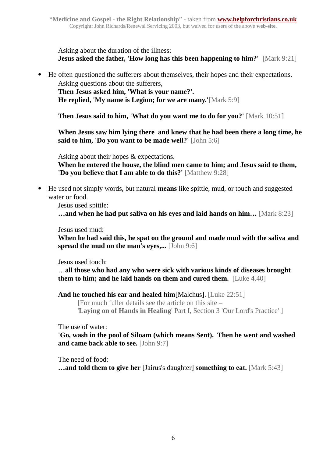Asking about the duration of the illness: **Jesus asked the father, 'How long has this been happening to him?'** [Mark 9:21]

He often questioned the sufferers about themselves, their hopes and their expectations.

Asking questions about the sufferers, **Then Jesus asked him, 'What is your name?'. He replied, 'My name is Legion; for we are many.'**[Mark 5:9]

**Then Jesus said to him, 'What do you want me to do for you?'** [Mark 10:51]

**When Jesus saw him lying there and knew that he had been there a long time, he said to him, 'Do you want to be made well?'** [John 5:6]

Asking about their hopes & expectations.

**When he entered the house, the blind men came to him; and Jesus said to them, 'Do you believe that I am able to do this?'** [Matthew 9:28]

 He used not simply words, but natural **means** like spittle, mud, or touch and suggested water or food.

Jesus used spittle:

**…and when he had put saliva on his eyes and laid hands on him…** [Mark 8:23]

Jesus used mud:

**When he had said this, he spat on the ground and made mud with the saliva and spread the mud on the man's eyes,...** [John 9:6]

Jesus used touch:

…**all those who had any who were sick with various kinds of diseases brought them to him; and he laid hands on them and cured them.** [Luke 4.40]

**And he touched his ear and healed him**[Malchus]. [Luke 22:51]

[For much fuller details see the article on this site –

'**Laying on of Hands in Healing**' Part I, Section 3 'Our Lord's Practice' ]

The use of water:

**'Go, wash in the pool of Siloam (which means Sent). Then he went and washed and came back able to see.** [John 9:7]

The need of food:

**…and told them to give her** [Jairus's daughter] **something to eat.** [Mark 5:43]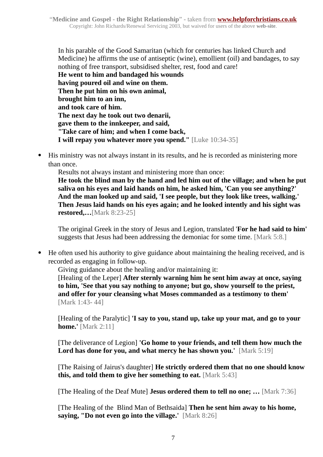In his parable of the Good Samaritan (which for centuries has linked Church and Medicine) he affirms the use of antiseptic (wine), emollient (oil) and bandages, to say nothing of free transport, subsidised shelter, rest, food and care! **He went to him and bandaged his wounds having poured oil and wine on them. Then he put him on his own animal, brought him to an inn, and took care of him. The next day he took out two denarii, gave them to the innkeeper, and said, "Take care of him; and when I come back, I will repay you whatever more you spend."** [Luke 10:34-35]

 His ministry was not always instant in its results, and he is recorded as ministering more than once.

Results not always instant and ministering more than once:

**He took the blind man by the hand and led him out of the village; and when he put saliva on his eyes and laid hands on him, he asked him, 'Can you see anything?' And the man looked up and said, 'I see people, but they look like trees, walking.' Then Jesus laid hands on his eyes again; and he looked intently and his sight was restored,…**[Mark 8:23-25]

The original Greek in the story of Jesus and Legion, translated '**For he had said to him'** suggests that Jesus had been addressing the demoniac for some time. [Mark 5:8.]

 He often used his authority to give guidance about maintaining the healing received, and is recorded as engaging in follow-up.

Giving guidance about the healing and/or maintaining it:

[Healing of the Leper] **After sternly warning him he sent him away at once, saying to him, 'See that you say nothing to anyone; but go, show yourself to the priest, and offer for your cleansing what Moses commanded as a testimony to them'**  [Mark 1:43- 44]

[Healing of the Paralytic] **'I say to you, stand up, take up your mat, and go to your home.'** [Mark 2:11]

[The deliverance of Legion] **'Go home to your friends, and tell them how much the Lord has done for you, and what mercy he has shown you.'** [Mark 5:19]

[The Raising of Jairus's daughter] **He strictly ordered them that no one should know this, and told them to give her something to eat.** [Mark 5:43]

[The Healing of the Deaf Mute] **Jesus ordered them to tell no one; …** [Mark 7:36]

[The Healing of the Blind Man of Bethsaida] **Then he sent him away to his home, saying, "Do not even go into the village.'** [Mark 8:26]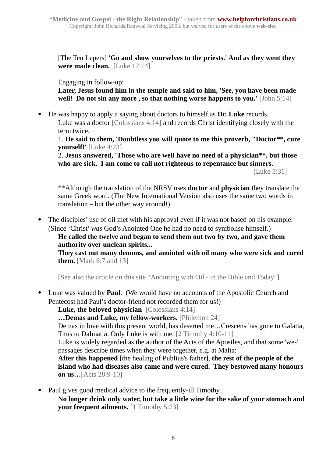[The Ten Lepers] **'Go and show yourselves to the priests.' And as they went they were made clean.** [Luke 17:14]

Engaging in follow-up:

**Later, Jesus found him in the temple and said to him, 'See, you have been made well! Do not sin any more , so that nothing worse happens to you.'** [John 5:14]

He was happy to apply a saying about doctors to himself as **Dr. Luke** records.

Luke was a doctor [Colossians 4:14] and records Christ identifying closely with the term twice.

1. **He said to them, 'Doubtless you will quote to me this proverb, "Doctor\*\*, cure yourself!'** [Luke 4:23]

2. **Jesus answered, 'Those who are well have no need of a physician\*\*, but those who are sick. I am come to call not righteous to repentance but sinners.**

[Luke 5:31]

\*\*Although the translation of the NRSV uses **doctor** and **physician** they translate the same Greek word. (The New International Version also uses the same two words in translation – but the other way around!)

 The disciples' use of oil met with his approval even if it was not based on his example. (Since 'Christ' *was* God's Anointed One he had no need to symbolise himself.)

**He called the twelve and began to send them out two by two, and gave them authority over unclean spirits...**

**They cast out many demons, and anointed with oil many who were sick and cured them.** [Mark 6:7 and 13]

[See also the article on this site "Anointing with Oil - in the Bible and Today"]

 Luke was valued by **Paul**. (We would have no accounts of the Apostolic Church and Pentecost had Paul's doctor-friend not recorded them for us!)

**Luke, the beloved physician** [Colossians 4:14]

**…Demas and Luke, my fellow-workers.** [Philemon 24]

Demas in love with this present world, has deserted me…Crescens has gone to Galatia, Titus to Dalmatia. Only Luke is with me. [2 Timothy 4:10-11]

Luke is widely regarded as the author of the Acts of the Apostles, and that some 'we-' passages describe times when they were together, e.g. at Malta:

**After this happened** [the healing of Publius's father], **the rest of the people of the island who had diseases also came and were cured. They bestowed many honours on us…**[Acts 28:9-10]

- Paul gives good medical advice to the frequently-ill Timothy.
	- **No longer drink only water, but take a little wine for the sake of your stomach and your frequent ailments.** [1 Timothy 5:23]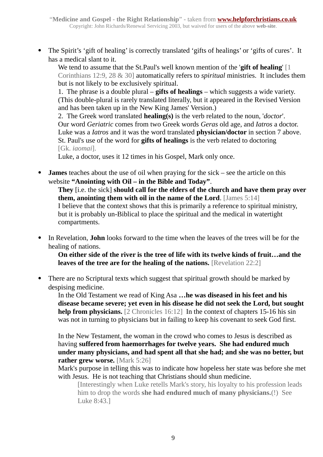The Spirit's 'gift of healing' is correctly translated 'gifts of healings' or 'gifts of cures'. It has a medical slant to it.

We tend to assume that the St.Paul's well known mention of the '**gift of healing**' [1 Corinthians 12:9, 28 & 30] automatically refers to *spiritual* ministries. It includes them but is not likely to be exclusively spiritual.

1. The phrase is a double plural – **gifts of healings** – which suggests a wide variety. (This double-plural is rarely translated literally, but it appeared in the Revised Version and has been taken up in the New King James' Version.)

2. The Greek word translated **healing(s)** is the verb related to the noun, '*doctor*'. Our word *Geriatric* comes from two Greek words *Geras* old age, and *Iatros* a doctor. Luke was a *Iatros* and it was the word translated **physician/doctor** in section 7 above. St. Paul's use of the word for **gifts of healings** is the verb related to doctoring [Gk. *iaomai*].

Luke, a doctor, uses it 12 times in his Gospel, Mark only once.

 **James** teaches about the use of oil when praying for the sick – see the article on this website **"Anointing with Oil – in the Bible and Today"**.

**They** [i.e. the sick] **should call for the elders of the church and have them pray over them, anointing them with oil in the name of the Lord**. [James 5:14] I believe that the context shows that this is primarily a reference to spiritual ministry, but it is probably un-Biblical to place the spiritual and the medical in watertight compartments.

 In Revelation, **John** looks forward to the time when the leaves of the trees will be for the healing of nations.

**On either side of the river is the tree of life with its twelve kinds of fruit…and the leaves of the tree are for the healing of the nations.** [Revelation 22:2]

 There are no Scriptural texts which suggest that spiritual growth should be marked by despising medicine.

In the Old Testament we read of King Asa **…he was diseased in his feet and his disease became severe; yet even in his disease he did not seek the Lord, but sought help from physicians.** [2 Chronicles 16:12] In the context of chapters 15-16 his sin was not in turning to physicians but in failing to keep his covenant to seek God first.

In the New Testament, the woman in the crowd who comes to Jesus is described as having **suffered from haemorrhages for twelve years. She had endured much under many physicians, and had spent all that she had; and she was no better, but rather grew worse.** [Mark 5:26]

Mark's purpose in telling this was to indicate how hopeless her state was before she met with Jesus. He is not teaching that Christians should shun medicine.

[Interestingly when Luke retells Mark's story, his loyalty to his profession leads him to drop the words **she had endured much of many physicians.**(!) See Luke 8:43.]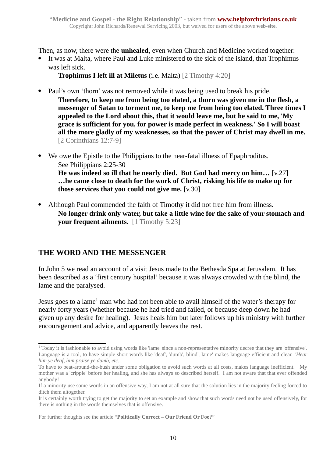Then, as now, there were the **unhealed**, even when Church and Medicine worked together:

 It was at Malta, where Paul and Luke ministered to the sick of the island, that Trophimus was left sick.

**Trophimus I left ill at Miletus** (i.e. Malta) [2 Timothy 4:20]

- Paul's own 'thorn' was not removed while it was being used to break his pride.
	- **Therefore, to keep me from being too elated, a thorn was given me in the flesh, a messenger of Satan to torment me, to keep me from being too elated. Three times I appealed to the Lord about this, that it would leave me, but he said to me, 'My grace is sufficient for you, for power is made perfect in weakness.' So I will boast all the more gladly of my weaknesses, so that the power of Christ may dwell in me.**  [2 Corinthians 12:7-9]
- We owe the Epistle to the Philippians to the near-fatal illness of Epaphroditus. See Philippians 2:25-30 **He was indeed so ill that he nearly died. But God had mercy on him…** [v.27] **…he came close to death for the work of Christ, risking his life to make up for those services that you could not give me.** [v.30]
- Although Paul commended the faith of Timothy it did not free him from illness. **No longer drink only water, but take a little wine for the sake of your stomach and your frequent ailments.** [1 Timothy 5:23]

### **THE WORD AND THE MESSENGER**

In John 5 we read an account of a visit Jesus made to the Bethesda Spa at Jerusalem. It has been described as a 'first century hospital' because it was always crowded with the blind, the lame and the paralysed.

Jesus goes to a lame<sup>[1](#page-9-0)</sup> man who had not been able to avail himself of the water's therapy for nearly forty years (whether because he had tried and failed, or because deep down he had given up any desire for healing). Jesus heals him but later follows up his ministry with further encouragement and advice, and apparently leaves the rest.

<span id="page-9-0"></span><sup>&</sup>lt;sup>1</sup> Today it is fashionable to avoid using words like 'lame' since a non-representative minority decree that they are 'offensive'. Language is a tool, to have simple short words like 'deaf', 'dumb', blind', lame' makes language efficient and clear. *'Hear him ye deaf, him praise ye dumb, etc…*

To have to beat-around-the-bush under some obligation to avoid such words at all costs, makes language inefficient. My mother was a 'cripple' before her healing, and she has always so described herself. I am not aware that that ever offended anybody!

If a minority use some words in an offensive way, I am not at all sure that the solution lies in the majority feeling forced to ditch them altogether.

It is certainly worth trying to get the majority to set an example and show that such words need not be used offensively, for there is nothing in the words themselves that is offensive.

For further thoughts see the article "**Politically Correct – Our Friend Or Foe?**"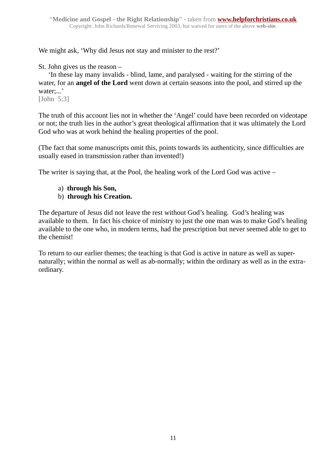We might ask, 'Why did Jesus not stay and minister to the rest?'

St. John gives us the reason –

'In these lay many invalids - blind, lame, and paralysed - waiting for the stirring of the water, for an **angel of the Lord** went down at certain seasons into the pool, and stirred up the water;...'

[John 5:3]

The truth of this account lies not in whether the 'Angel' could have been recorded on videotape or not; the truth lies in the author's great theological affirmation that it was ultimately the Lord God who was at work behind the healing properties of the pool.

(The fact that some manuscripts omit this, points towards its authenticity, since difficulties are usually eased in transmission rather than invented!)

The writer is saying that, at the Pool, the healing work of the Lord God was active –

- a) **through his Son,**
- b) **through his Creation.**

The departure of Jesus did not leave the rest without God's healing. God's healing was available to them. In fact his choice of ministry to just the one man was to make God's healing available to the one who, in modern terms, had the prescription but never seemed able to get to the chemist!

To return to our earlier themes; the teaching is that God is active in nature as well as supernaturally; within the normal as well as ab-normally; within the ordinary as well as in the extraordinary.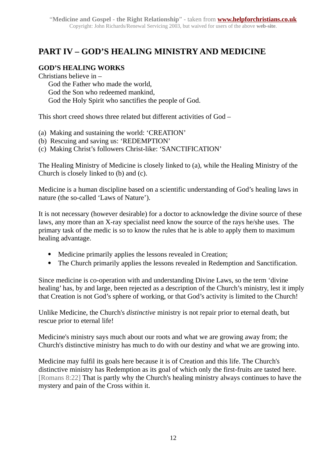## **PART IV – GOD'S HEALING MINISTRY AND MEDICINE**

#### **GOD'S HEALING WORKS**

Christians believe in – God the Father who made the world, God the Son who redeemed mankind, God the Holy Spirit who sanctifies the people of God.

This short creed shows three related but different activities of God –

(a) Making and sustaining the world: 'CREATION'

- (b) Rescuing and saving us: 'REDEMPTION'
- (c) Making Christ's followers Christ-like: 'SANCTIFICATION'

The Healing Ministry of Medicine is closely linked to (a), while the Healing Ministry of the Church is closely linked to (b) and (c).

Medicine is a human discipline based on a scientific understanding of God's healing laws in nature (the so-called 'Laws of Nature').

It is not necessary (however desirable) for a doctor to acknowledge the divine source of these laws, any more than an X-ray specialist need know the source of the rays he/she uses. The primary task of the medic is so to know the rules that he is able to apply them to maximum healing advantage.

- Medicine primarily applies the lessons revealed in Creation;
- The Church primarily applies the lessons revealed in Redemption and Sanctification.

Since medicine is co-operation with and understanding Divine Laws, so the term 'divine healing' has, by and large, been rejected as a description of the Church's ministry, lest it imply that Creation is not God's sphere of working, or that God's activity is limited to the Church!

Unlike Medicine, the Church's *distinctive* ministry is not repair prior to eternal death, but rescue prior to eternal life!

Medicine's ministry says much about our roots and what we are growing away from; the Church's distinctive ministry has much to do with our destiny and what we are growing into.

Medicine may fulfil its goals here because it is of Creation and this life. The Church's distinctive ministry has Redemption as its goal of which only the first-fruits are tasted here. [Romans 8:22] That is partly why the Church's healing ministry always continues to have the mystery and pain of the Cross within it.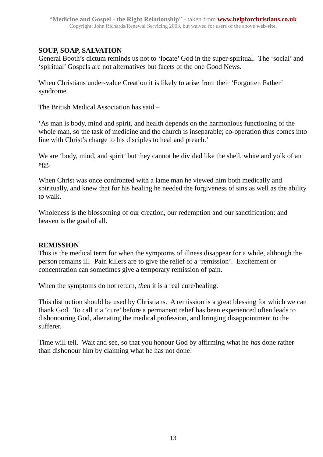#### **SOUP, SOAP, SALVATION**

General Booth's dictum reminds us not to 'locate' God in the super-spiritual. The 'social' and 'spiritual' Gospels are not alternatives but facets of the one Good News.

When Christians under-value Creation it is likely to arise from their 'Forgotten Father' syndrome.

The British Medical Association has said –

'As man is body, mind and spirit, and health depends on the harmonious functioning of the whole man, so the task of medicine and the church is inseparable; co-operation thus comes into line with Christ's charge to his disciples to heal and preach.'

We are 'body, mind, and spirit' but they cannot be divided like the shell, white and yolk of an egg.

When Christ was once confronted with a lame man he viewed him both medically and spiritually, and knew that for his healing he needed the forgiveness of sins as well as the ability to walk.

Wholeness is the blossoming of our creation, our redemption and our sanctification: and heaven is the goal of all.

#### **REMISSION**

This is the medical term for when the symptoms of illness disappear for a while, although the person remains ill. Pain killers are to give the relief of a 'remission'. Excitement or concentration can sometimes give a temporary remission of pain.

When the symptoms do not return, *then* it is a real cure/healing.

This distinction should be used by Christians. A remission is a great blessing for which we can thank God. To call it a 'cure' before a permanent relief has been experienced often leads to dishonouring God, alienating the medical profession, and bringing disappointment to the sufferer.

Time will tell. Wait and see, so that you honour God by affirming what he *has* done rather than dishonour him by claiming what he has not done!